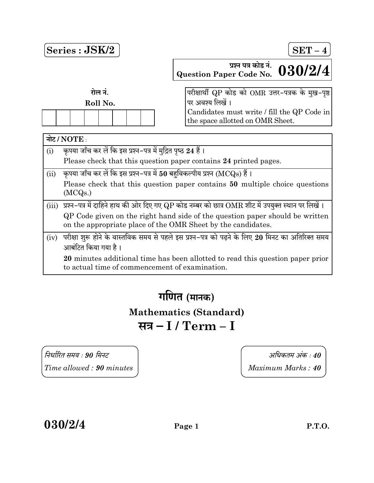

गणित (मानक) Mathematics (Standard) सत्र – I / Term – I

 90 40  $Time allowed: 90 minutes$   $Maximum Marks: 40$ 

 $030/2/4$  Page 1 P.T.O.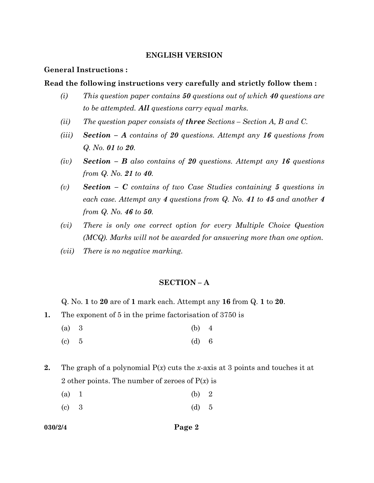### ENGLISH VERSION

### General Instructions :

### Read the following instructions very carefully and strictly follow them :

- (i) This question paper contains  $50$  questions out of which  $40$  questions are to be attempted. All questions carry equal marks.
- (ii) The question paper consists of **three** Sections Section A, B and C.
- (iii) Section A contains of 20 questions. Attempt any 16 questions from Q. No. 01 to 20.
- (iv) Section B also contains of 20 questions. Attempt any 16 questions from Q. No. 21 to 40.
- (v) Section  $C$  contains of two Case Studies containing 5 questions in each case. Attempt any 4 questions from Q. No. 41 to 45 and another 4 from Q. No. 46 to 50.
- (vi) There is only one correct option for every Multiple Choice Question (MCQ). Marks will not be awarded for answering more than one option.
- (vii) There is no negative marking.

### SECTION – A

Q. No. 1 to 20 are of 1 mark each. Attempt any 16 from Q. 1 to 20.

- 1. The exponent of 5 in the prime factorisation of 3750 is
	- (a) 3 (b) 4
	- (c)  $5$  (d) 6
- 2. The graph of a polynomial  $P(x)$  cuts the x-axis at 3 points and touches it at 2 other points. The number of zeroes of  $P(x)$  is

| (b) 2 |  |
|-------|--|
|       |  |

(c) 3 (d) 5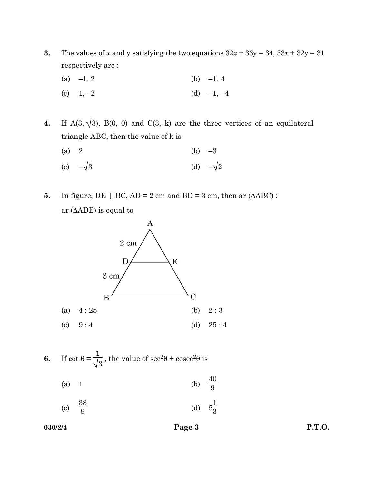- 3. The values of x and y satisfying the two equations  $32x + 33y = 34$ ,  $33x + 32y = 31$ respectively are :
	- (a)  $-1, 2$  (b)  $-1, 4$
	- (c)  $1, -2$  (d)  $-1, -4$

4. If  $A(3, \sqrt{3})$ ,  $B(0, 0)$  and  $C(3, k)$  are the three vertices of an equilateral triangle ABC, then the value of k is

- (a) 2 (b)  $-3$ (c)  $-\sqrt{3}$  (d)  $-\sqrt{2}$
- 5. In figure, DE  $|| BC, AD = 2 \text{ cm}$  and BD = 3 cm, then ar  $(AABC)$ : ar  $(AADE)$  is equal to



- 6. If  $\cot \theta = \frac{\pi}{2}$ 1 3 , the value of  $\sec^2\theta + \csc^2\theta$  is
	- (a) 1 (b)  $\frac{40}{9}$
	- $\left( \mathrm{c}\right)$  $rac{38}{9}$ (d)  $5.$ 1 3

 $030/2/4$  Page 3 P.T.O.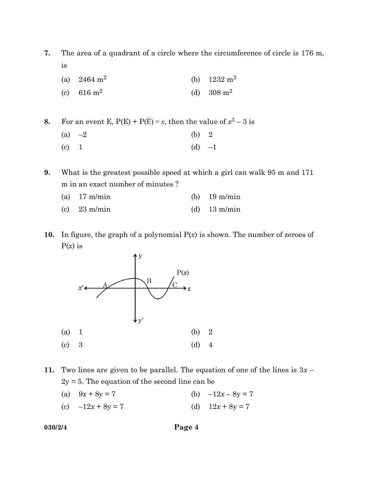7. The area of a quadrant of a circle where the circumference of circle is 176 m, is

- (a)  $2464 \text{ m}^2$ (b)  $1232 \text{ m}^2$
- (c) 616  $m^2$ (d)  $308 \text{ m}^2$

8. For an event E,  $P(E) + P(\overline{E}) = x$ , then the value of  $x^3 - 3$  is (a)  $-2$  (b) 2 (c)  $1$  (d)  $-1$ 

9. What is the greatest possible speed at which a girl can walk 95 m and 171 m in an exact number of minutes ?

| (a) $17 \text{ m/min}$ | (b) $19 \text{ m/min}$ |
|------------------------|------------------------|
| (c) $23 \text{ m/min}$ | (d) $13 \text{ m/min}$ |

10. In figure, the graph of a polynomial  $P(x)$  is shown. The number of zeroes of  $P(x)$  is



11. Two lines are given to be parallel. The equation of one of the lines is  $3x 2y = 5$ . The equation of the second line can be

- (a)  $9x + 8y = 7$  (b)  $-12x 8y = 7$
- (c)  $-12x + 8y = 7$  (d)  $12x + 8y = 7$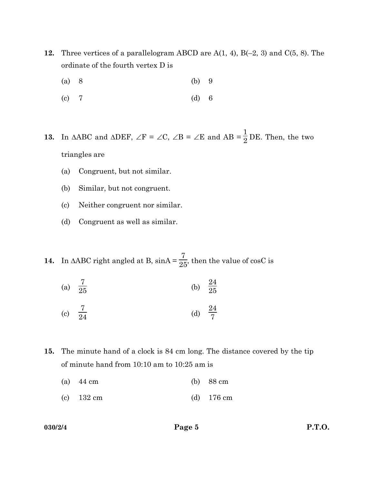- 12. Three vertices of a parallelogram ABCD are  $A(1, 4)$ ,  $B(-2, 3)$  and  $C(5, 8)$ . The ordinate of the fourth vertex D is
	- (a) 8 (b) 9
	- (c) 7 (d) 6
- **13.** In  $\triangle ABC$  and  $\triangle DEF$ ,  $\angle F = \angle C$ ,  $\angle B = \angle E$  and  $AB = \frac{1}{2}DE$ . Then, the two triangles are
	- (a) Congruent, but not similar.
	- (b) Similar, but not congruent.
	- (c) Neither congruent nor similar.
	- (d) Congruent as well as similar.
- **14.** In  $\triangle ABC$  right angled at B,  $\sin A = \frac{7}{25}$ , then the value of  $\cos C$  is
	- (a)  $\frac{7}{25}$  $\frac{7}{25}$  (b)  $\frac{24}{25}$

(c) 
$$
\frac{7}{24}
$$
 (d)  $\frac{24}{7}$ 

- 15. The minute hand of a clock is 84 cm long. The distance covered by the tip of minute hand from 10:10 am to 10:25 am is
	- (a) 44 cm (b) 88 cm
	- (c) 132 cm (d) 176 cm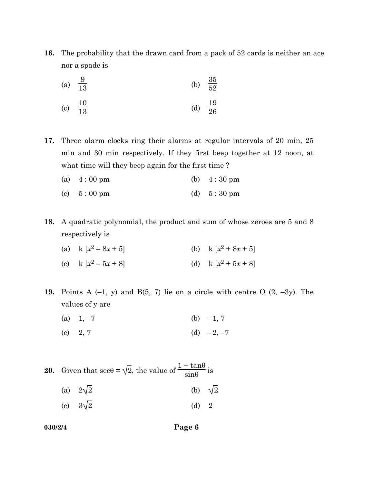16. The probability that the drawn card from a pack of 52 cards is neither an ace nor a spade is

(a) 
$$
\frac{9}{13}
$$
 (b)  $\frac{35}{52}$   
10

(c) 
$$
\frac{10}{13}
$$
 (d)  $\frac{19}{26}$ 

17. Three alarm clocks ring their alarms at regular intervals of 20 min, 25 min and 30 min respectively. If they first beep together at 12 noon, at what time will they beep again for the first time?

(a) 4 : 00 pm (b) 4 : 30 pm

- (c)  $5:00 \text{ pm}$  (d)  $5:30 \text{ pm}$
- 18. A quadratic polynomial, the product and sum of whose zeroes are 5 and 8 respectively is
	- (a) k  $\left[x^2\right]$  $-8x+5$ ] (b) k  $[x^2+8x+5]$
	- (c)  $k [x^2]$  $-5x+8$ ] (d) k [ $x^2+5x+8$ ]

19. Points A  $(-1, y)$  and B $(5, 7)$  lie on a circle with centre O  $(2, -3y)$ . The values of y are

- (a)  $1, -7$  (b)  $-1, 7$
- (c)  $2, 7$  (d)  $-2, -7$

**20.** Given that  $\sec\theta = \sqrt{2}$ , the value of  $\frac{1 + \tan\theta}{\sin\theta}$  is

- (a)  $2\sqrt{2}$  (b)  $\sqrt{2}$
- (c)  $3\sqrt{2}$  (d) 2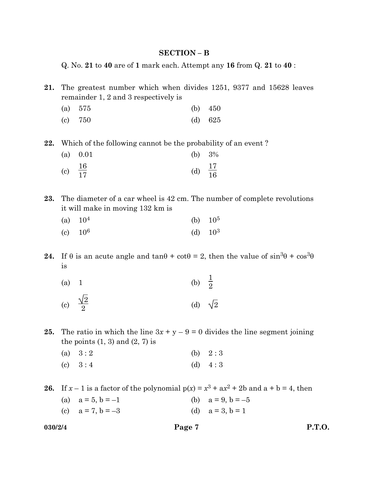#### SECTION – B

Q. No. 21 to 40 are of 1 mark each. Attempt any 16 from Q. 21 to 40 :

21. The greatest number which when divides 1251, 9377 and 15628 leaves remainder 1, 2 and 3 respectively is

| (a) $575$ | (b) $450$ |
|-----------|-----------|
| $(c)$ 750 | (d) $625$ |

22. Which of the following cannot be the probability of an event ?

| (a) 0.01            |                     | (b) $3\%$ |
|---------------------|---------------------|-----------|
| (c) $\frac{16}{17}$ | (d) $\frac{17}{16}$ |           |

23. The diameter of a car wheel is 42 cm. The number of complete revolutions it will make in moving 132 km is

| (a) $10^4$ | (b) $10^5$ |
|------------|------------|
| (c) $10^6$ | (d) $10^3$ |

24. If  $\theta$  is an acute angle and  $\tan \theta + \cot \theta = 2$ , then the value of  $\sin^3 \theta + \cos^3 \theta$ is

| (a) 1 |                          | (b) $\frac{1}{2}$ |                |
|-------|--------------------------|-------------------|----------------|
|       | (c) $\frac{\sqrt{2}}{2}$ |                   | (d) $\sqrt{2}$ |

25. The ratio in which the line  $3x + y - 9 = 0$  divides the line segment joining the points  $(1, 3)$  and  $(2, 7)$  is

|           | (a) $3:2$ | (b) $2:3$ |
|-----------|-----------|-----------|
| $\lambda$ |           |           |

(c)  $3:4$  (d)  $4:3$ 

26. If  $x - 1$  is a factor of the polynomial  $p(x) = x^3 + ax^2 + 2b$  and  $a + b = 4$ , then

(a)  $a = 5, b = -1$  (b)  $a = 9, b = -5$ (c)  $a = 7, b = -3$  (d)  $a = 3, b = 1$ 

$$
030/2/4
$$

 $030/2/4$  Page 7 P.T.O.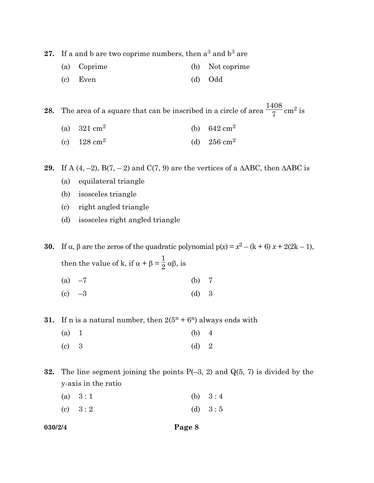27. If a and b are two coprime numbers, then  $a^3$  and  $b^3$  are

- (a) Coprime (b) Not coprime
- (c) Even (d) Odd

**28.** The area of a square that can be inscribed in a circle of area  $\frac{1408}{7}$  cm<sup>2</sup> is

- (a)  $321 \text{ cm}^2$ (b) 642 cm<sup>2</sup>
- (c)  $128 \text{ cm}^2$ (d)  $256 \text{ cm}^2$

29. If A  $(4, -2)$ , B $(7, -2)$  and C $(7, 9)$  are the vertices of a  $\triangle ABC$ , then  $\triangle ABC$  is

- (a) equilateral triangle
- (b) isosceles triangle
- (c) right angled triangle
- (d) isosceles right angled triangle

30. If  $\alpha$ ,  $\beta$  are the zeros of the quadratic polynomial  $p(x) = x^2 - (k + 6)x + 2(2k - 1)$ , then the value of k, if  $\alpha + \beta = \gamma$ 1  $\frac{1}{2} \alpha \beta$ , is

- (a)  $-7$  (b) 7
- (c)  $-3$  (d) 3

31. If n is a natural number, then  $2(5<sup>n</sup> + 6<sup>n</sup>)$  always ends with

(a) 1 (b) 4 (c)  $3$  (d)  $2$ 

**32.** The line segment joining the points  $P(-3, 2)$  and  $Q(5, 7)$  is divided by the y-axis in the ratio

|        | (a) $3:1$ | (b) $3:4$ |
|--------|-----------|-----------|
| $\sim$ |           |           |

(c)  $3:2$  (d)  $3:5$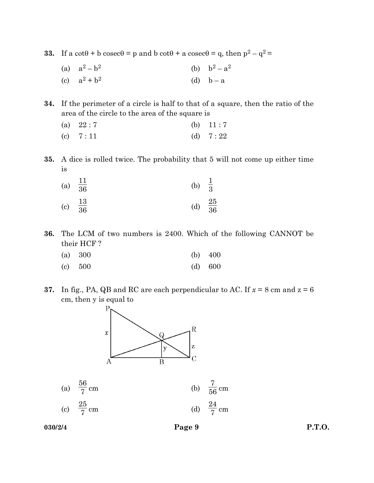33. If a cot $\theta$  + b cosec $\theta$  = p and b cot $\theta$  + a cosec $\theta$  = q, then  $p^2 - q^2$  =

(a)  $a^2-b^2$ (b)  $b^2 - a^2$ (c)  $a^2 + b^2$ (d)  $b - a$ 

34. If the perimeter of a circle is half to that of a square, then the ratio of the area of the circle to the area of the square is

| (a) $22:7$ | (b) $11:7$ |
|------------|------------|
| (c) $7:11$ | (d) $7:22$ |

35. A dice is rolled twice. The probability that 5 will not come up either time is

| (a)                        | $\frac{11}{36}$ | (b) | $\frac{1}{3}$   |
|----------------------------|-----------------|-----|-----------------|
| $\left( \mathrm{c}\right)$ | $\frac{13}{36}$ | (d) | $\frac{25}{36}$ |

36. The LCM of two numbers is 2400. Which of the following CANNOT be their HCF ?

| (a) 300 |  | (b) $400$ |
|---------|--|-----------|
| (c) 500 |  | (d) 600   |

37. In fig., PA, QB and RC are each perpendicular to AC. If  $x = 8$  cm and  $z = 6$ cm, then y is equal to



| (a) $\frac{56}{7}$ cm | (b) $\frac{7}{56}$ cm |
|-----------------------|-----------------------|
| (c) $\frac{25}{7}$ cm | (d) $\frac{24}{7}$ cm |

 $030/2/4$  Page 9 P.T.O.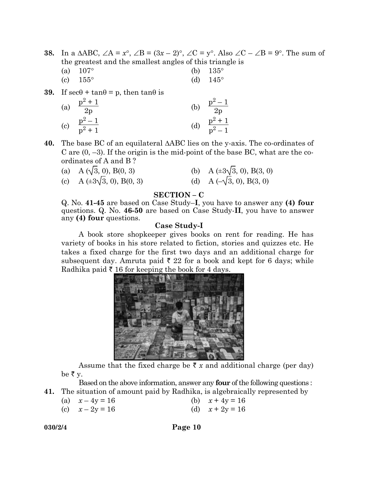**38.** In a  $\triangle ABC$ ,  $\angle A = x^{\circ}$ ,  $\angle B = (3x - 2)^{\circ}$ ,  $\angle C = y^{\circ}$ . Also  $\angle C - \angle B = 9^{\circ}$ . The sum of the greatest and the smallest angles of this triangle is

| (a) $107^{\circ}$ | (b) $135^{\circ}$ |
|-------------------|-------------------|
| (c) $155^{\circ}$ | (d) $145^{\circ}$ |

**39.** If  $\sec\theta + \tan\theta = p$ , then  $\tan\theta$  is

(a) 
$$
\frac{p^2 + 1}{2p}
$$
  
\n(b)  $\frac{p^2 - 1}{2p}$   
\n(c)  $\frac{p^2 - 1}{p^2 + 1}$   
\n(d)  $\frac{p^2 + 1}{p^2 - 1}$ 

**40.** The base BC of an equilateral  $\triangle ABC$  lies on the y-axis. The co-ordinates of C are  $(0, -3)$ . If the origin is the mid-point of the base BC, what are the coordinates of A and B ?

(a) A ( $\sqrt{3}$ , 0), B(0, 3) (b) A ( $\pm 3\sqrt{3}$ , 0), B(3, 0) (c) A ( $\pm 3\sqrt{3}$ , 0), B(0, 3) (d) A ( $\sqrt{3}$ , 0), B(3, 0)

# SECTION – C

 Q. No. 41-45 are based on Case Study–I, you have to answer any (4) four questions. Q. No. 46-50 are based on Case Study-II, you have to answer any (4) four questions.

#### Case Study-I

 A book store shopkeeper gives books on rent for reading. He has variety of books in his store related to fiction, stories and quizzes etc. He takes a fixed charge for the first two days and an additional charge for subsequent day. Amruta paid  $\bar{\tau}$  22 for a book and kept for 6 days; while Radhika paid  $\bar{\tau}$  16 for keeping the book for 4 days.



Assume that the fixed charge be  $\bar{x}$  x and additional charge (per day) be  $\bar{\tau}$  y.

Based on the above information, answer any four of the following questions :

- 41. The situation of amount paid by Radhika, is algebraically represented by
	- (a)  $x 4y = 16$  (b)  $x + 4y = 16$
	- (c)  $x 2y = 16$  (d)  $x + 2y = 16$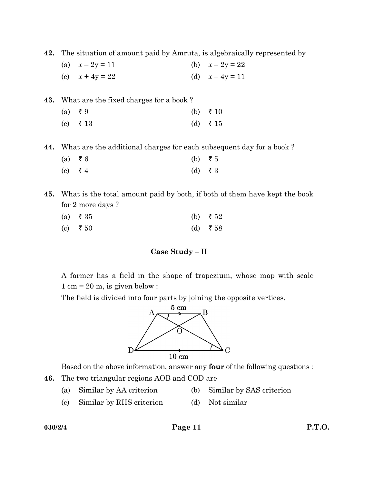42. The situation of amount paid by Amruta, is algebraically represented by

| (a) $x - 2y = 11$ | (b) $x - 2y = 22$ |
|-------------------|-------------------|
| (c) $x + 4y = 22$ | (d) $x - 4y = 11$ |

| <b>43.</b> What are the fixed charges for a book? |                      |  |                  |  |
|---------------------------------------------------|----------------------|--|------------------|--|
|                                                   | $(a) \quad \xi \, 9$ |  | (b) $\bar{x}$ 10 |  |
|                                                   | (c) $\bar{\tau}$ 13  |  | (d) ₹15          |  |

44. What are the additional charges for each subsequent day for a book ?

| $(a) \quad \xi 6$ | (b) $\bar{z}$ 5 |
|-------------------|-----------------|
| (c) ₹ 4           | (d) ₹ 3         |

45. What is the total amount paid by both, if both of them have kept the book for 2 more days ?

| (a) $\bar{z}$ 35 | (b) $\bar{z}$ 52 |
|------------------|------------------|
| (c) $\bar{z}$ 50 | (d) ₹58          |

# Case Study – II

 A farmer has a field in the shape of trapezium, whose map with scale  $1 \text{ cm} = 20 \text{ m}$ , is given below :

The field is divided into four parts by joining the opposite vertices.



Based on the above information, answer any four of the following questions :

- 46. The two triangular regions AOB and COD are
	- (a) Similar by AA criterion (b) Similar by SAS criterion
	- (c) Similar by RHS criterion (d) Not similar

# $030/2/4$  Page 11 P.T.O.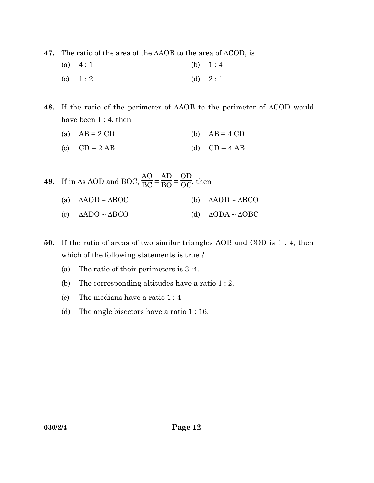47. The ratio of the area of the  $\triangle AOB$  to the area of  $\triangle COD$ , is

| (a) $4:1$ | (b) $1:4$ |
|-----------|-----------|
| (c) $1:2$ | (d) $2:1$ |

48. If the ratio of the perimeter of  $\triangle AOB$  to the perimeter of  $\triangle COD$  would have been 1 : 4, then

- (a)  $AB = 2 CD$  (b)  $AB = 4 CD$
- (c)  $CD = 2 AB$  (d)  $CD = 4 AB$
- **49.** If in  $\Delta$ s AOD and BOC,  $\frac{AO}{BC}$  = AD  $\frac{1}{\text{BO}}$ = OD  $\frac{\partial E}{\partial C}$ , then
	- (a)  $\triangle AOD \sim \triangle BOC$  (b)  $\triangle AOD \sim \triangle BCO$
	- (c)  $\triangle ADO \sim \triangle BCO$  (d)  $\triangle ODA \sim \triangle OBC$

50. If the ratio of areas of two similar triangles AOB and COD is 1 : 4, then which of the following statements is true ?

 $\overline{\phantom{a}}$ 

- (a) The ratio of their perimeters is 3 :4.
- (b) The corresponding altitudes have a ratio 1 : 2.
- (c) The medians have a ratio 1 : 4.
- (d) The angle bisectors have a ratio 1 : 16.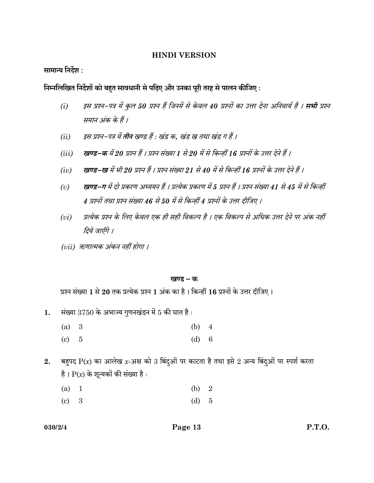### HINDI VERSION

सामान्य निर्देश :

निम्नलिखित निर्देशों को बहुत सावधानी से पढ़िए और उनका पूरी तरह से पालन कीजिए:

- (i) इस प्रश्न-पत्र में कुल 50 प्रश्न हैं जिनमें से केवल 40 प्रश्नों का उत्तर देना अनिवार्य है । **सभी** प्रश्न समान अंक के हैं।
- (ii) इस प्रश्न-पत्र में **तीन** खण्ड हैं : खंड क, खंड ख तथा खंड ग हैं ।
- (iii) खण्ड–क में 20 प्रश्न हैं । प्रश्न संख्या 1 से 20 में से किन्हीं 16 प्रश्नों के उत्तर देने हैं ।
- (iv) खण्ड–ख में भी 20 प्रश्न हैं । प्रश्न संख्या 21 से 40 में से किन्हीं 16 प्रश्नों के उत्तर देने हैं ।
- (v) खण्ड–ग में दो प्रकरण अध्ययन हैं । प्रत्येक प्रकरण में 5 प्रश्न हैं । प्रश्न संख्या 41 से 45 में से किन्हीं  $4$  प्रश्नों तथा प्रश्न संख्या  $46$  से 50 में से किन्हीं  $4$  प्रश्नों के उत्तर दीजिए ।
- (vi) प्रत्येक प्रश्न के लिए केवल एक ही सही विकल्प है । एक विकल्प से अधिक उत्तर देने पर अंक नहीं दिये जाएँगे ।
- (vii) ऋणात्मक अंकन नहीं होगा।

#### खण्ड – क

प्रश्न संख्या 1 से 20 तक प्रत्येक प्रश्न 1 अंक का है। किन्हीं 16 प्रश्नों के उत्तर दीजिए।

- 1. संख्या  $3750$  के अभाज्य गुणनखंडन में 5 की घात है:
	- (a) 3 (b) 4
	- (c) 5 (d) 6
- 2. बहुपद  $P(x)$  का आलेख x-अक्ष को 3 बिंदुओं पर काटता है तथा इसे 2 अन्य बिंदुओं पर स्पर्श करता है।  $P(x)$  के शून्यकों की संख्या है:

| (a) 1 | (b) 2 |  |
|-------|-------|--|
| (c) 3 | (d) 5 |  |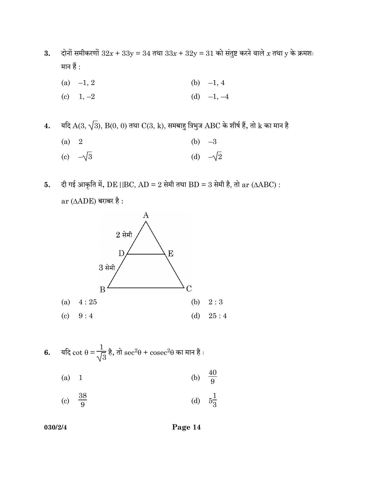- 3. दोनों समीकरणों  $32x + 33y = 34$  तथा  $33x + 32y = 31$  को संतुष्ट करने वाले  $x$  तथा  $y$  के क्रमशः मान हैं :
	- (a)  $-1, 2$  (b)  $-1, 4$
	- (c)  $1, -2$  (d)  $-1, -4$

4. यदि  $A(3, \sqrt{3})$ ,  $B(0, 0)$  तथा  $C(3, k)$ , समबाहु त्रिभुज  $ABC$  के शीर्ष हैं, तो  $k$  का मान है

| (a) 2 |                 | (b) $-3$ |                 |
|-------|-----------------|----------|-----------------|
|       | (c) $-\sqrt{3}$ |          | (d) $-\sqrt{2}$ |

5. दी गई आकृति में, DE ||BC, AD = 2 सेमी तथा BD = 3 सेमी है, तो ar ( $\triangle ABC$ ) :  $ar(AADE)$  बराबर है:



6. 
$$
\overline{4}R \cot \theta = \frac{1}{\sqrt{3}} \dot{\overline{6}}, \overline{d} \sec^2 \theta + \csc^2 \theta \overline{d}
$$
 का मान  $\dot{\overline{6}}$ :

(a) 1 (b)  $\frac{40}{9}$  $\frac{40}{9}$ 

(c) 
$$
\frac{38}{9}
$$
 (d)  $5\frac{1}{3}$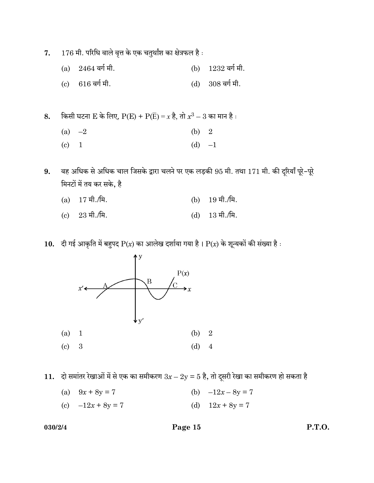- 7.  $176$  मी. परिधि वाले वृत्त के एक चतुर्थांश का क्षेत्रफल है:
	- (a)  $2464$  वर्ग मी. (b)  $1232$  वर्ग मी.
	- (c)  $616$  वर्ग मी. (d)  $308$  वर्ग मी.
- ${\bf 8.} \qquad$  किसी घटना  ${\rm E}$  के लिए,  ${\rm P}({\rm E})+{\rm P}(\overline{\rm E})$  =  $x$  है, तो  $x^3-3$  का मान है : (a)  $-2$  (b) 2
	- (c)  $1$  (d)  $-1$
- 9. वह अधिक से अधिक चाल जिसके द्वारा चलने पर एक लड़की 95 मी. तथा 171 मी. की दूरियाँ पूरे-पूरे मिनटों में तय कर सके, है
	- (a)  $17 \text{ H.}/\text{H.}$  (b)  $19 \text{ H.}/\text{H.}$ (c)  $23 \text{ H.}/\text{H.}$  (d)  $13 \text{ H.}/\text{H.}$
- 10. दी गई आकृति में बहुपद  $P(x)$  का आलेख दर्शाया गया है।  $P(x)$  के शून्यकों की संख्या है:



11. दो समांतर रेखाओं में से एक का समीकरण  $3x - 2y = 5$  है, तो दूसरी रेखा का समीकरण हो सकता है

- (a)  $9x + 8y = 7$  (b)  $-12x 8y = 7$
- (c)  $-12x + 8y = 7$  (d)  $12x + 8y = 7$

# 030/2/4 Page 15 P.T.O.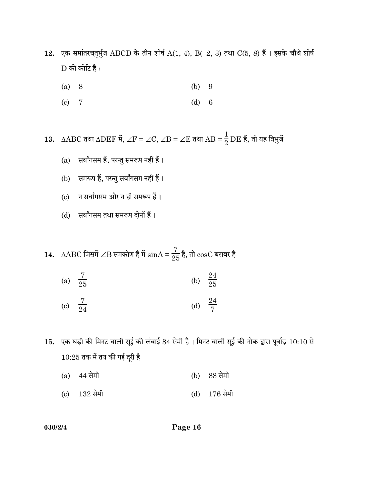- 12. एक समांतरचतुर्भुज ABCD के तीन शीर्ष  $A(1, 4)$ , B(-2, 3) तथा C(5, 8) हैं। इसके चौथे शीर्ष  $D$  की कोटि है:
	- (a) 8 (b) 9
	- (c) 7 (d) 6

13. ∆ $\triangle$ ABC तथा  $\triangle$ DEF में, ∠F = ∠C, ∠B = ∠E तथा  $\triangle$ B =  $\frac{1}{2}$  DE हैं, तो यह त्रिभुजें

- $(a)$  सर्वांगसम हैं, परन्तु समरूप नहीं हैं।
- (b) समरूप हैं, परन्तु सर्वांगसम नहीं हैं।
- (c) न सर्वांगसम और न ही समरूप हैं।
- (d) सर्वांगसम तथा समरूप दोनों हैं।
- $14. \;\; \text{AABC}$  जिसमें  $\angle \text{B}$  समकोण है में  $\text{sinA} = \frac{7}{25}$ है, तो  $\text{cosC}$  बराबर है
	- (a)  $\frac{7}{25}$  $\frac{7}{25}$  (b)  $\frac{24}{25}$ (c)  $\frac{7}{24}$  $\frac{7}{24}$  (d)  $\frac{24}{7}$
- $\,$ 15. एक घड़ी की मिनट वाली सूई की लंबाई  $84$  सेमी है । मिनट वाली सूई की नोक द्वारा पूर्वाह्न  $\,10:10$  से  $10:25$  तक में तय की गई दूरी है
	- $(a)$  44 सेमी (b) 88 सेमी
	- $\text{(c)}$  132 सेमी  $\text{(d)}$  176 सेमी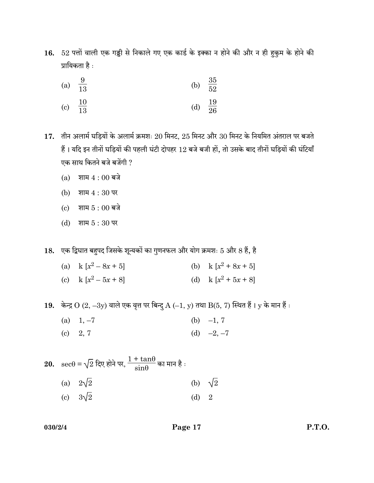16. 52 पत्तों वाली एक गड्डी से निकाले गए एक कार्ड के इक्का न होने की और न ही ह़ुकुम के होने की प्रायिकता है :

| (a) $\frac{9}{13}$  | (b) $\frac{35}{52}$ |  |
|---------------------|---------------------|--|
| (c) $\frac{10}{13}$ | (d) $\frac{19}{26}$ |  |

17. तीन अलार्म घड़ियों के अलार्म क्रमशः 20 मिनट, 25 मिनट और 30 मिनट के नियमित अंतराल पर बजते हैं। यदि इन तीनों घड़ियों की पहली घंटी दोपहर 12 बजे बजी हों, तो उसके बाद तीनों घड़ियों की घंटियाँ एक साथ कितने बजे बजेंगी ?

- $(a)$  शाम  $4:00$  बजे
- (b) शाम  $4:30$  पर
- $(c)$  शाम  $5:00$  बजे
- (d) शाम  $5:30$  पर
- 18. एक द्विघात बहुपद जिसके शून्यकों का गुणनफल और योग क्रमशः 5 और 8 हैं, है
	- (a) k  $\left[x^2\right]$  $x^2 + 8x + 5$ (c) k  $[x^2 - 5x + 8]$  (d) k  $[x^2 + 5x + 8]$

19. केन्द्र  $O(2, -3y)$  वाले एक वृत्त पर बिन्दु  $A(-1, y)$  तथा  $B(5, 7)$  स्थित हैं।  $y$  के मान हैं:

- (a)  $1, -7$  (b)  $-1, 7$
- (c)  $2, 7$  (d)  $-2, -7$

20. 
$$
\sec\theta = \sqrt{2} \sec\theta
$$
  $\Rightarrow$   $\frac{1 + \tan\theta}{\sin\theta}$   $\Rightarrow$   $\tan\theta$   $\therefore$   
\n(a)  $2\sqrt{2}$  (b)  $\sqrt{2}$   
\n(c)  $3\sqrt{2}$  (d) 2

030/2/4 Page 17 P.T.O.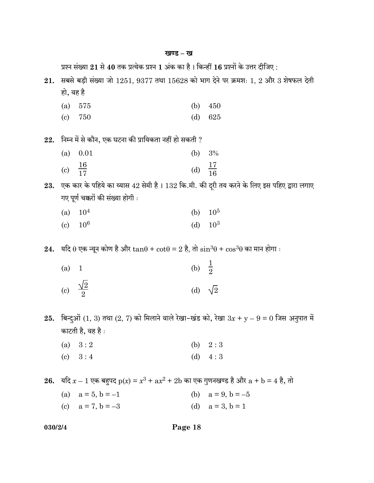|         | प्रश्न संख्या $21$ से $40$ तक प्रत्येक प्रश्न $1$ अंक का है। किन्हीं $16$ प्रश्नों के उत्तर दीजिए : |                                                                                                       |                                     |                     |  |
|---------|-----------------------------------------------------------------------------------------------------|-------------------------------------------------------------------------------------------------------|-------------------------------------|---------------------|--|
| 21.     | सबसे बड़ी संख्या जो 1251, 9377 तथा 15628 को भाग देने पर क्रमशः 1, 2 और 3 शेषफल देती                 |                                                                                                       |                                     |                     |  |
|         | हो, वह है                                                                                           |                                                                                                       |                                     |                     |  |
|         | (a)                                                                                                 | 575                                                                                                   | (b)                                 | 450                 |  |
|         | $\left( \mathrm{e}\right)$                                                                          | 750                                                                                                   | (d)                                 | 625                 |  |
|         |                                                                                                     |                                                                                                       |                                     |                     |  |
| 22.     |                                                                                                     | निम्न में से कौन, एक घटना की प्रायिकता नहीं हो सकती ?                                                 |                                     |                     |  |
|         | (a)                                                                                                 | 0.01                                                                                                  | (b)                                 | 3%                  |  |
|         | (c) $\frac{16}{17}$                                                                                 |                                                                                                       | (d) $\frac{17}{16}$                 |                     |  |
|         |                                                                                                     |                                                                                                       |                                     |                     |  |
|         |                                                                                                     | 23. एक कार के पहिये का व्यास 42 सेमी है । 132 कि.मी. की दूरी तय करने के लिए इस पहिए द्वारा लगाए       |                                     |                     |  |
|         |                                                                                                     | गए पूर्ण चक्करों की संख्या होगी :                                                                     |                                     |                     |  |
|         | (a)                                                                                                 | 10 <sup>4</sup>                                                                                       | (b)                                 | 10 <sup>5</sup>     |  |
|         | $\left( \mathrm{c}\right)$                                                                          | 10 <sup>6</sup>                                                                                       | (d)                                 | 10 <sup>3</sup>     |  |
|         |                                                                                                     |                                                                                                       |                                     |                     |  |
|         |                                                                                                     | 24. यदि θ एक न्यून कोण है और tanθ + cotθ = 2 है, तो $\sin^3\theta$ + cos <sup>3</sup> θ का मान होगा : |                                     |                     |  |
|         |                                                                                                     |                                                                                                       |                                     |                     |  |
|         | (a)                                                                                                 | $\mathbf{1}$                                                                                          |                                     |                     |  |
|         |                                                                                                     | (c) $\frac{\sqrt{2}}{2}$                                                                              | (b) $\frac{1}{2}$<br>(d) $\sqrt{2}$ |                     |  |
|         |                                                                                                     |                                                                                                       |                                     |                     |  |
|         |                                                                                                     |                                                                                                       |                                     |                     |  |
| 25.     |                                                                                                     | बिन्दुओं $(1, 3)$ तथा $(2, 7)$ को मिलाने वाले रेखा–खंड को, रेखा $3x + y - 9 = 0$ जिस अनुपात में       |                                     |                     |  |
|         |                                                                                                     | काटती है, वह है :                                                                                     |                                     |                     |  |
|         |                                                                                                     | (a) $3:2$                                                                                             |                                     | (b) $2:3$           |  |
|         |                                                                                                     | (c) $3:4$                                                                                             |                                     | (d) $4:3$           |  |
|         |                                                                                                     |                                                                                                       |                                     |                     |  |
|         |                                                                                                     | 26. यदि $x - 1$ एक बहुपद $p(x) = x^3 + ax^2 + 2b$ का एक गुणनखण्ड है और $a + b = 4$ है, तो             |                                     |                     |  |
|         |                                                                                                     | (a) $a = 5, b = -1$                                                                                   |                                     | (b) $a = 9, b = -5$ |  |
|         |                                                                                                     | (c) $a = 7, b = -3$                                                                                   |                                     | (d) $a = 3, b = 1$  |  |
|         |                                                                                                     |                                                                                                       |                                     |                     |  |
| 030/2/4 |                                                                                                     | Page 18                                                                                               |                                     |                     |  |

# खण्ड – ख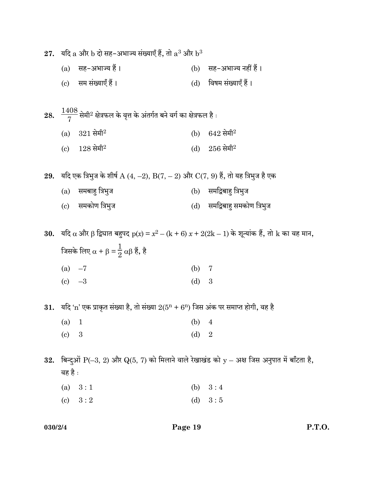|     | 27. यदि a और b दो सह-अभाज्य संख्याएँ हैं, तो a <sup>3</sup> और b <sup>3</sup> |                                                                                                           |         |                                                   |  |
|-----|-------------------------------------------------------------------------------|-----------------------------------------------------------------------------------------------------------|---------|---------------------------------------------------|--|
|     |                                                                               | (a) सह-अभाज्य हैं।                                                                                        |         | (b) सह-अभाज्य नहीं हैं।                           |  |
|     |                                                                               | (c) सम संख्याएँ हैं।                                                                                      |         | (d) विषम संख्याएँ हैं।                            |  |
|     |                                                                               |                                                                                                           |         |                                                   |  |
|     |                                                                               | 28. $\frac{1408}{7}$ सेमी $^2$ क्षेत्रफल के वृत्त के अंतर्गत बने वर्ग का क्षेत्रफल है :                   |         |                                                   |  |
|     | (a)                                                                           | $321$ सेमी <sup>2</sup>                                                                                   |         | (b) $642 \text{ }\theta^{42}$                     |  |
|     | (c)                                                                           | $128$ सेमी $^2$                                                                                           |         | (d) $256 \text{ }\hat{+} \hat{+} \hat{+} \hat{+}$ |  |
|     |                                                                               |                                                                                                           |         |                                                   |  |
|     |                                                                               | 29. यदि एक त्रिभुज के शीर्ष A $(4, -2)$ , B $(7, -2)$ और $\rm C(7, 9)$ हैं, तो यह त्रिभुज है एक           |         |                                                   |  |
|     |                                                                               | (a) समबाहु त्रिभुज                                                                                        |         | (b) समद्विबाहु त्रिभुज                            |  |
|     |                                                                               | (c) समकोण त्रिभुज                                                                                         |         | (d) समद्विबाहु समकोण त्रिभुज                      |  |
|     |                                                                               |                                                                                                           |         |                                                   |  |
|     |                                                                               | <b>30.</b> यदि α और β द्विघात बहुपद p(x) = $x^2 - (k + 6) x + 2(2k - 1)$ के शून्यांक हैं, तो k का वह मान, |         |                                                   |  |
|     | जिसके लिए $\alpha + \beta = \frac{1}{2} \alpha \beta$ हैं, है                 |                                                                                                           |         |                                                   |  |
|     | (a) $-7$                                                                      |                                                                                                           | (b) $7$ |                                                   |  |
|     | (c) $-3$                                                                      |                                                                                                           | (d)     | $\boldsymbol{3}$                                  |  |
|     |                                                                               | 31. यदि 'n' एक प्राकृत संख्या है, तो संख्या $2(5^{n} + 6^{n})$ जिस अंक पर समाप्त होगी, वह है              |         |                                                   |  |
|     | (a)                                                                           | $\overline{1}$                                                                                            | (b)     | $\overline{4}$                                    |  |
|     | $\left( \mathrm{e}\right)$                                                    | $\boldsymbol{3}$                                                                                          | (d)     | $\overline{2}$                                    |  |
|     |                                                                               |                                                                                                           |         |                                                   |  |
| 32. |                                                                               | बिन्दुओं P(-3, 2) और Q(5, 7) को मिलाने वाले रेखाखंड को y - अक्ष जिस अनुपात में बाँटता है,                 |         |                                                   |  |
|     | वह है :                                                                       |                                                                                                           |         |                                                   |  |
|     | (a)                                                                           | 3:1                                                                                                       | (b)     | 3:4                                               |  |
|     | $\left( \mathrm{c}\right)$                                                    | 3:2                                                                                                       | (d)     | 3:5                                               |  |
|     |                                                                               |                                                                                                           |         |                                                   |  |

030/2/4 Page 19 P.T.O.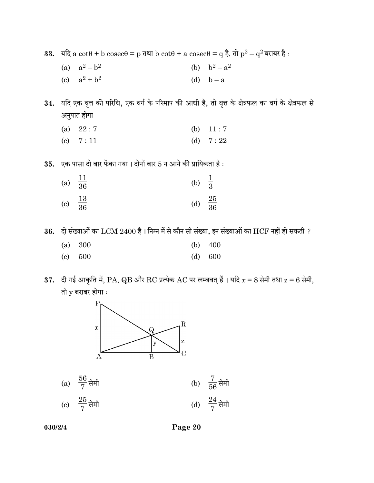33. यदि  $a\,\cot\theta + b\,\csc\theta = p\,\mp\sqrt{a}\,b\,\cot\theta + a\,\csc\theta = q\,\frac{1}{6},\,\pi\,\frac{1}{p}p^2 - q^2\,\mp\sqrt{a}\,b\,\frac{1}{p}\,.$ 

- (a)  $a^2-b^2$ (b)  $b^2 - a^2$
- (c)  $a^2 + b^2$ (d)  $b - a$

34. यदि एक वृत्त की परिधि, एक वर्ग के परिमाप की आधी है, तो वृत्त के क्षेत्रफल का वर्ग के क्षेत्रफल से अनुपात होगा

- (a)  $22:7$  (b)  $11:7$ (c)  $7:11$  (d)  $7:22$
- $35.$  एक पासा दो बार फेंका गया। दोनों बार  $5$  न आने की प्रायिकता है :

| (a) $\frac{11}{36}$ | (b) $\frac{1}{3}$ |                 |
|---------------------|-------------------|-----------------|
| (c) $\frac{13}{36}$ | (d)               | $\frac{25}{36}$ |

 $36.$  दो संख्याओं का  $LCM$   $2400$  है। निम्न में से कौन सी संख्या, इन संख्याओं का  $HCF$  नहीं हो सकती ?

| (a) 300 |         | (b) $400$ |
|---------|---------|-----------|
| (c) 500 | (d) 600 |           |

37. दी गई आकृति में, PA, QB और RC प्रत्येक AC पर लम्बवत् हैं। यदि  $x = 8$  सेमी तथा  $z = 6$  सेमी, तो  $y$  बराबर होगा $\cdot$ 



| (a) $\frac{56}{7}$ सेमी | (b) $\frac{7}{56}$ सेमी |
|-------------------------|-------------------------|
| (c) $\frac{25}{7}$ सेमी | (d) $\frac{24}{7}$ सेमी |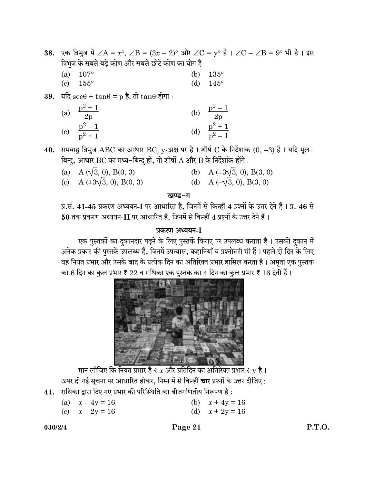38. एक त्रिभुज में ∠A = x°, ∠B =  $(3x - 2)$ ° और ∠C = y° है। ∠C – ∠B = 9° भी है। इस त्रिभूज के सबसे बड़े कोण और सबसे छोटे कोण का योग है

- (a)  $107^{\circ}$  (b)  $135^{\circ}$ (c)  $155^{\circ}$  (d)  $145^{\circ}$
- 39. यदि sec $\theta$  + tan $\theta$  = p है, तो tan $\theta$  होगा:

|                            | (a) $\frac{p^2+1}{2p}$ | (b) | $\frac{p^2-1}{2p}$    |
|----------------------------|------------------------|-----|-----------------------|
| $\left( \mathrm{c}\right)$ | $\frac{p^2-1}{p^2+1}$  | (d) | $\frac{p^2+1}{p^2-1}$ |

40. समबाह त्रिभुज ABC का आधार BC, y-अक्ष पर है। शीर्ष C के निर्देशांक  $(0, -3)$  हैं। यदि मूल-बिन्दु, आधार BC का मध्य-बिन्दु हो, तो शीर्षों  $A$  और  $B$  के निर्देशांक होंगे :

(a) A ( $\sqrt{3}$ , 0), B(0, 3) (b) A ( $\pm 3\sqrt{3}$ , 0), B(3, 0) (c) A ( $\pm 3\sqrt{3}$ , 0), B(0, 3) (d) A ( $\sqrt{3}$ , 0), B(3, 0)

#### खण्ड-ग

प्र.सं. 41-45 प्रकरण अध्ययन-I पर आधारित है, जिनमें से किन्हीं 4 प्रश्नों के उत्तर देने हैं। प्र. 46 से  $50$  तक प्रकरण अध्ययन-II पर आधारित हैं, जिनमें से किन्हीं 4 प्रश्नों के उत्तर देने हैं।

### प्रकरण अध्ययन-I

एक पुस्तकों का दुकानदार पढ़ने के लिए पुस्तकें किराए पर उपलब्ध कराता है। उसकी दुकान में अनेक प्रकार की पुस्तकें उपलब्ध हैं, जिनमें उपन्यास, कहानियाँ व प्रश्नोत्तरी भी हैं। पहले दो दिन के लिए वह नियत प्रभार और उसके बाद के प्रत्येक दिन का अतिरिक्त प्रभार हासिल करता है। अमृता एक पुस्तक का 6 दिन का कुल प्रभार ₹  $22$  व राधिका एक पुस्तक का  $4$  दिन का कुल प्रभार ₹  $16$  देती हैं।



मान लीजिए कि नियत प्रभार है ह $x$  और प्रतिदिन का अतिरिक्त प्रभार है y है। ऊपर दी गई सूचना पर आधारित होकर, निम्न में से किन्हीं **चार** प्रश्नों के उत्तर दीजिए :

- $41.$  राधिका द्वारा दिए गए प्रभार की परिस्थिति का बीजगणितीय निरूपण है :
	- (a)  $x 4y = 16$  (b)  $x + 4y = 16$
	- (c)  $x 2y = 16$  (d)  $x + 2y = 16$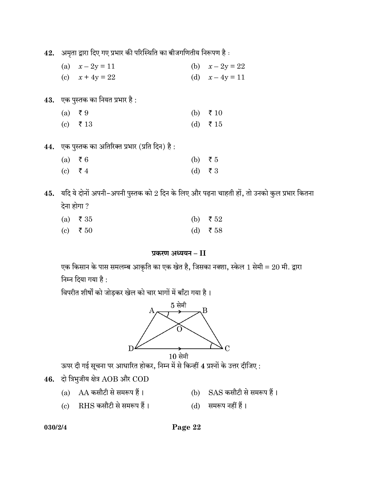42. अमृता द्वारा दिए गए प्रभार की परिस्थिति का बीजगणितीय निरूपण है:

- (a)  $x 2y = 11$  (b)  $x 2y = 22$ (c)  $x + 4y = 22$  (d)  $x - 4y = 11$
- $43.$  एक पुस्तक का नियत प्रभार है:
	- (a)  $\bar{z}$  9 (b)  $\bar{z}$  10 (c)  $\bar{z}$  13 (d)  $\bar{z}$  15
- 44. एक पुस्तक का अतिरिक्त प्रभार (प्रति दिन) है:

| (a) ₹6  |           | (b) $\bar{z}5$ |
|---------|-----------|----------------|
| (c) ₹ 4 | $(d)$ ₹ 3 |                |

45. यदि ये दोनों अपनी-अपनी पुस्तक को  $2$  दिन के लिए और पढ़ना चाहती हों, तो उनको कुल प्रभार कितना देना होगा ?

| (a) $\bar{x}$ 35 | (b) $\bar{z}$ 52 |
|------------------|------------------|
| (c) $\bar{z}$ 50 | (d) ₹58          |

# प्रकरण अध्ययन - II

एक किसान के पास समलम्ब आकृति का एक खेत है, जिसका नक्शा, स्केल 1 सेमी =  $20$  मी. द्वारा निम्न दिया गया है:

विपरीत शीर्षों को जोड़कर खेल को चार भागों में बाँटा गया है।



 $10$  सेमी

ऊपर दी गई सूचना पर आधारित होकर, निम्न में से किन्हीं 4 प्रश्नों के उत्तर दीजिए :

- $46.$  दो त्रिभुजीय क्षेत्र  $AOB$  और  $COD$ 
	- (a)  $AA$  कसौटी से समरूप हैं।  $\qquad$  (b)  $SAS$  कसौटी से समरूप हैं।
	- (c) RHS कसौटी से समरूप हैं। (d) समरूप नहीं हैं।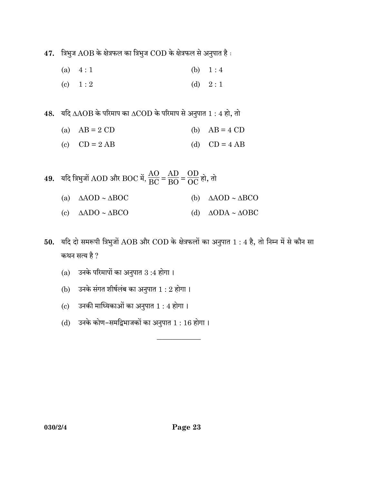$47.$  त्रिभुज  $AOB$  के क्षेत्रफल का त्रिभुज  $COD$  के क्षेत्रफल से अनुपात है:

- (a)  $4:1$  (b)  $1:4$
- (c)  $1:2$  (d)  $2:1$

 $48.$  यदि  $\triangle AOB$  के परिमाप का  $\triangle COD$  के परिमाप से अनुपात  $1:4$  हो, तो

|  | (a) $AB = 2 CD$ |  | (b) $AB = 4 CD$ |
|--|-----------------|--|-----------------|
|--|-----------------|--|-----------------|

- (c)  $CD = 2 AB$  (d)  $CD = 4 AB$
- $49.$  यदि त्रिभुजों  $\mathrm{AOD}$  और  $\mathrm{BOC}$  में,  $\frac{\mathrm{AO}}{\mathrm{BC}}$  $\frac{18}{BC}$ = AD  $\frac{1}{\text{BO}}$ =  $\frac{\text{OD}}{\text{OC}}$ हो, तो (a)  $\triangle AOD \sim \triangle BOC$  (b)  $\triangle AOD \sim \triangle BCO$ (c)  $\triangle ADO \sim \triangle BCO$  (d)  $\triangle ODA \sim \triangle OBC$
- $50.$  यदि दो समरूपी त्रिभुजों  $\rm{AOB}$  और  $\rm{COD}$  के क्षेत्रफलों का अनुपात  $1:4$  है, तो निम्न में से कौन सा कथन सत्य है ?

 $\overline{\phantom{a}}$ 

- $(a)$  उनके परिमापों का अनुपात  $3:4$  होगा।
- (b) उनके संगत शीर्षलंब का अनुपात  $1:2$  होगा।
- $(c)$  उनकी माध्यिकाओं का अनुपात  $1:4$  होगा।
- $(d)$  उनके कोण-समद्विभाजकों का अनुपात  $1:16$  होगा।